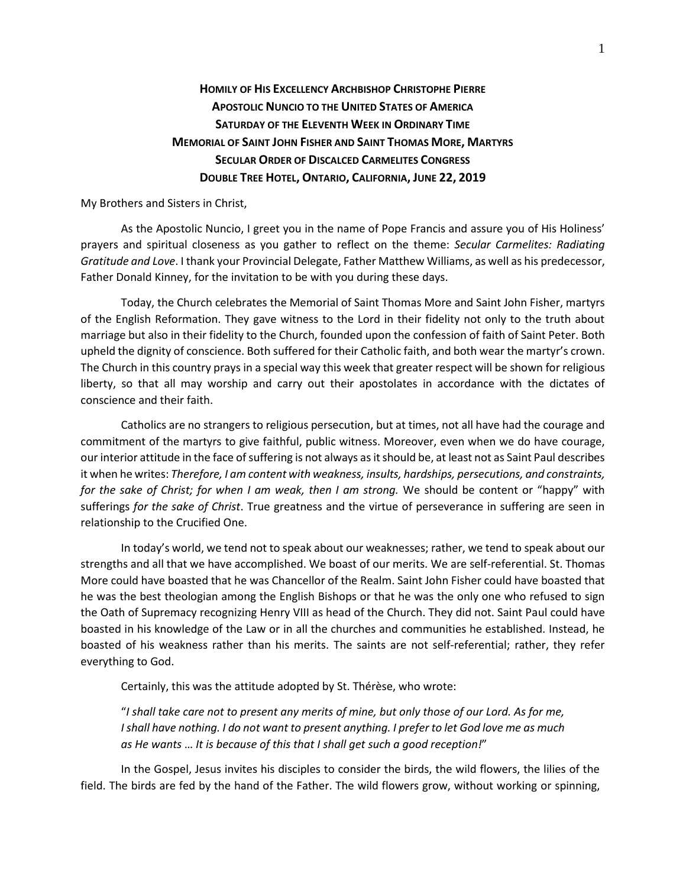## **HOMILY OF HIS EXCELLENCY ARCHBISHOP CHRISTOPHE PIERRE APOSTOLIC NUNCIO TO THE UNITED STATES OF AMERICA SATURDAY OF THE ELEVENTH WEEK IN ORDINARY TIME MEMORIAL OF SAINT JOHN FISHER AND SAINT THOMAS MORE, MARTYRS SECULAR ORDER OF DISCALCED CARMELITES CONGRESS DOUBLE TREE HOTEL, ONTARIO, CALIFORNIA, JUNE 22, 2019**

My Brothers and Sisters in Christ,

As the Apostolic Nuncio, I greet you in the name of Pope Francis and assure you of His Holiness' prayers and spiritual closeness as you gather to reflect on the theme: *Secular Carmelites: Radiating Gratitude and Love*. I thank your Provincial Delegate, Father Matthew Williams, as well as his predecessor, Father Donald Kinney, for the invitation to be with you during these days.

Today, the Church celebrates the Memorial of Saint Thomas More and Saint John Fisher, martyrs of the English Reformation. They gave witness to the Lord in their fidelity not only to the truth about marriage but also in their fidelity to the Church, founded upon the confession of faith of Saint Peter. Both upheld the dignity of conscience. Both suffered for their Catholic faith, and both wear the martyr's crown. The Church in this country prays in a special way this week that greater respect will be shown for religious liberty, so that all may worship and carry out their apostolates in accordance with the dictates of conscience and their faith.

Catholics are no strangers to religious persecution, but at times, not all have had the courage and commitment of the martyrs to give faithful, public witness. Moreover, even when we do have courage, our interior attitude in the face of suffering is not always as it should be, at least not as Saint Paul describes it when he writes: *Therefore, I am content with weakness, insults, hardships, persecutions, and constraints, for the sake of Christ; for when I am weak, then I am strong.* We should be content or "happy" with sufferings *for the sake of Christ*. True greatness and the virtue of perseverance in suffering are seen in relationship to the Crucified One.

In today's world, we tend not to speak about our weaknesses; rather, we tend to speak about our strengths and all that we have accomplished. We boast of our merits. We are self-referential. St. Thomas More could have boasted that he was Chancellor of the Realm. Saint John Fisher could have boasted that he was the best theologian among the English Bishops or that he was the only one who refused to sign the Oath of Supremacy recognizing Henry VIII as head of the Church. They did not. Saint Paul could have boasted in his knowledge of the Law or in all the churches and communities he established. Instead, he boasted of his weakness rather than his merits. The saints are not self-referential; rather, they refer everything to God.

Certainly, this was the attitude adopted by St. Thérèse, who wrote:

"*I shall take care not to present any merits of mine, but only those of our Lord. As for me, I shall have nothing. I do not want to present anything. I prefer to let God love me as much as He wants* … *It is because of this that I shall get such a good reception!*"

In the Gospel, Jesus invites his disciples to consider the birds, the wild flowers, the lilies of the field. The birds are fed by the hand of the Father. The wild flowers grow, without working or spinning,